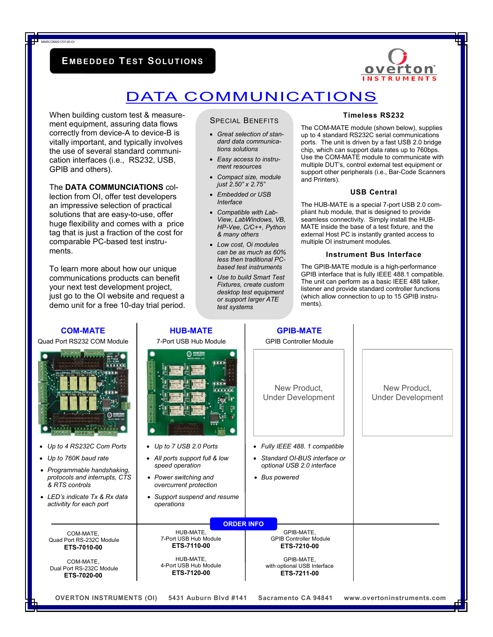### **E MB EDDED TEST SOLU T I ON S**



## DATA COMMUNICATIONS

When building custom test & measurement equipment, assuring data flows correctly from device-A to device-B is vitally important, and typically involves the use of several standard communication interfaces (i.e., RS232, USB, GPIB and others).

MARCOM20170125-OI

#### The **DATA COMMUNCIATIONS** col-

lection from OI, offer test developers an impressive selection of practical solutions that are easy-to-use, offer huge flexibility and comes with a price tag that is just a fraction of the cost for comparable PC-based test instruments.

To learn more about how our unique communications products can benefit your next test development project, just go to the OI website and request a demo unit for a free 10-day trial period.

**COM-MATE** 

#### SPECIAL BENEFITS

- *Great selection of standard data communications solutions*
- *Easy access to instrument resources*
- *Compact size, module just 2.50" x 2.75"*
- *Embedded or USB Interface*
- *Compatible with Lab-View, LabWindows, VB, HP-Vee, C/C++, Python & many others*
- *Low cost, Oi modules can be as much as 60% less then traditional PCbased test instruments*
- *Use to build Smart Test Fixtures, create custom desktop test equipment or support larger ATE test systems*

**GPIB-MATE** 

**HUB-MATE** 

#### **Timeless RS232**

The COM-MATE module (shown below), supplies up to 4 standard RS232C serial communications ports. The unit is driven by a fast USB 2.0 bridge chip, which can support data rates up to 760bps. Use the COM-MATE module to communicate with multiple DUT's, control external test equipment or support other peripherals (i.e., Bar-Code Scanners and Printers).

#### **USB Central**

The HUB-MATE is a special 7-port USB 2.0 compliant hub module, that is designed to provide seamless connectivity. Simply install the HUB-MATE inside the base of a test fixture, and the external Host PC is instantly granted access to multiple OI instrument modules.

#### **Instrument Bus Interface**

The GPIB-MATE module is a high-performance GPIB interface that is fully IEEE 488.1 compatible. The unit can perform as a basic IEEE 488 talker, listener and provide standard controller functions (which allow connection to up to 15 GPIB instruments).

| Quad Port RS232 COM Module                                                                                    | I IVP-111A I L<br>7-Port USB Hub Module                            | UI ILLUINAIL<br><b>GPIB Controller Module</b>              |                                          |
|---------------------------------------------------------------------------------------------------------------|--------------------------------------------------------------------|------------------------------------------------------------|------------------------------------------|
|                                                                                                               | $0$ system                                                         | New Product,<br><b>Under Development</b>                   | New Product.<br><b>Under Development</b> |
| • Up to 4 RS232C Com Ports                                                                                    | • Up to 7 USB 2.0 Ports                                            | • Fully IEEE 488. 1 compatible                             |                                          |
| • Up to 760K baud rate                                                                                        | • All ports support full & low                                     | • Standard OI-BUS interface or                             |                                          |
| • Programmable handshaking,<br>protocols and interrupts, CTS<br>& RTS controls                                | speed operation<br>• Power switching and<br>overcurrent protection | optional USB 2.0 interface<br>• Bus powered                |                                          |
| • LED's indicate Tx & Rx data<br>activitity for each port                                                     | Support suspend and resume<br>٠<br>operations                      |                                                            |                                          |
|                                                                                                               | <b>ORDER INFO</b>                                                  |                                                            |                                          |
| COM-MATE,<br>Quad Port RS-232C Module<br>ETS-7010-00                                                          | HUB-MATE.<br>7-Port USB Hub Module<br>ETS-7110-00                  | GPIB-MATE.<br><b>GPIB Controller Module</b><br>ETS-7210-00 |                                          |
| COM-MATE.<br>Dual Port RS-232C Module<br>ETS-7020-00                                                          | HUB-MATE,<br>4-Port USB Hub Module<br>ETS-7120-00                  | GPIB-MATE,<br>with optional USB Interface<br>ETS-7211-00   |                                          |
| <b>OVERTON INSTRUMENTS (OI)</b><br>5431 Auburn Blvd #141<br>Sacramento CA 94841<br>www.overtoninstruments.com |                                                                    |                                                            |                                          |